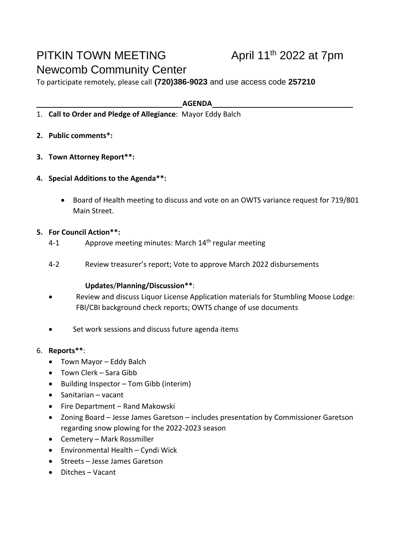# PITKIN TOWN MEETING Newcomb Community Center

## April  $11<sup>th</sup>$  2022 at 7pm

To participate remotely, please call **(720)386-9023** and use access code **257210**

**AGENDA**

- 1. **Call to Order and Pledge of Allegiance**: Mayor Eddy Balch
- **2. Public comments\*:**
- **3. Town Attorney Report\*\*:**
- **4. Special Additions to the Agenda\*\*:**
	- Board of Health meeting to discuss and vote on an OWTS variance request for 719/801 Main Street.

### **5. For Council Action\*\*:**

- 4-1 Approve meeting minutes: March 14<sup>th</sup> regular meeting
- 4-2 Review treasurer's report; Vote to approve March 2022 disbursements

#### **Updates**/**Planning/Discussion\*\***:

- Review and discuss Liquor License Application materials for Stumbling Moose Lodge: FBI/CBI background check reports; OWTS change of use documents
- Set work sessions and discuss future agenda items
- 6. **Reports\*\***:
	- Town Mayor Eddy Balch
	- Town Clerk Sara Gibb
	- Building Inspector Tom Gibb (interim)
	- Sanitarian vacant
	- Fire Department Rand Makowski
	- Zoning Board Jesse James Garetson includes presentation by Commissioner Garetson regarding snow plowing for the 2022-2023 season
	- Cemetery Mark Rossmiller
	- Environmental Health Cyndi Wick
	- Streets Jesse James Garetson
	- Ditches Vacant